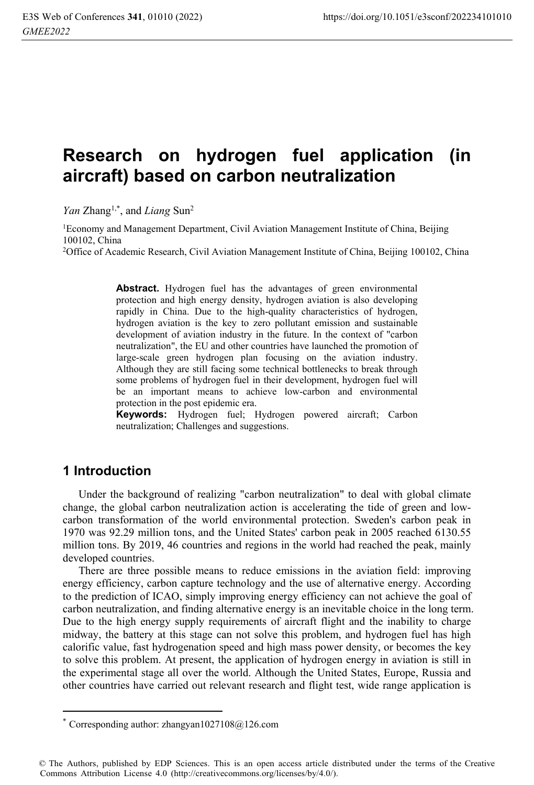# **Research on hydrogen fuel application (in aircraft) based on carbon neutralization**

*Yan* Zhang<sup>1,\*</sup>, and *Liang* Sun<sup>2</sup>

<sup>1</sup>Economy and Management Department, Civil Aviation Management Institute of China, Beijing 100102, China

2Office of Academic Research, Civil Aviation Management Institute of China, Beijing 100102, China

**Abstract.** Hydrogen fuel has the advantages of green environmental protection and high energy density, hydrogen aviation is also developing rapidly in China. Due to the high-quality characteristics of hydrogen, hydrogen aviation is the key to zero pollutant emission and sustainable development of aviation industry in the future. In the context of "carbon neutralization", the EU and other countries have launched the promotion of large-scale green hydrogen plan focusing on the aviation industry. Although they are still facing some technical bottlenecks to break through some problems of hydrogen fuel in their development, hydrogen fuel will be an important means to achieve low-carbon and environmental protection in the post epidemic era.

**Keywords:** Hydrogen fuel; Hydrogen powered aircraft; Carbon neutralization; Challenges and suggestions.

# **1 Introduction**

 $\overline{a}$ 

Under the background of realizing "carbon neutralization" to deal with global climate change, the global carbon neutralization action is accelerating the tide of green and lowcarbon transformation of the world environmental protection. Sweden's carbon peak in 1970 was 92.29 million tons, and the United States' carbon peak in 2005 reached 6130.55 million tons. By 2019, 46 countries and regions in the world had reached the peak, mainly developed countries.

There are three possible means to reduce emissions in the aviation field: improving energy efficiency, carbon capture technology and the use of alternative energy. According to the prediction of ICAO, simply improving energy efficiency can not achieve the goal of carbon neutralization, and finding alternative energy is an inevitable choice in the long term. Due to the high energy supply requirements of aircraft flight and the inability to charge midway, the battery at this stage can not solve this problem, and hydrogen fuel has high calorific value, fast hydrogenation speed and high mass power density, or becomes the key to solve this problem. At present, the application of hydrogen energy in aviation is still in the experimental stage all over the world. Although the United States, Europe, Russia and other countries have carried out relevant research and flight test, wide range application is

Corresponding author: zhangyan1027108 $@126$ .com

<sup>©</sup> The Authors, published by EDP Sciences. This is an open access article distributed under the terms of the Creative Commons Attribution License 4.0 (http://creativecommons.org/licenses/by/4.0/).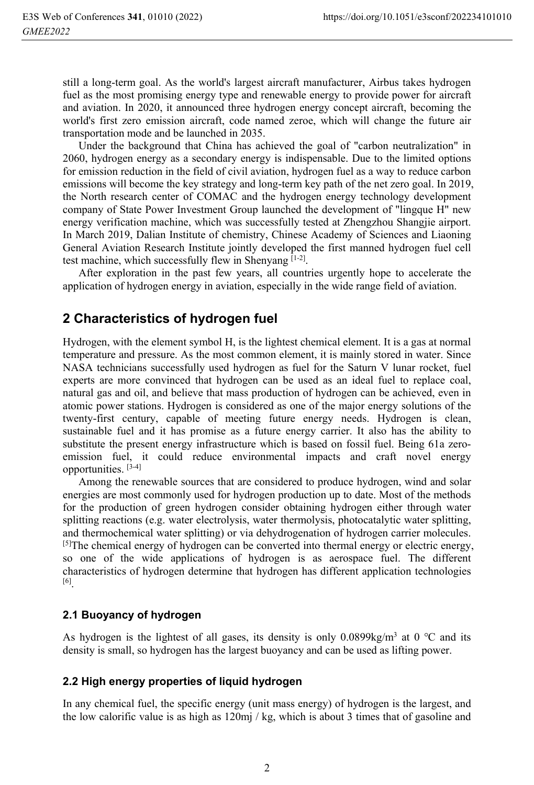still a long-term goal. As the world's largest aircraft manufacturer, Airbus takes hydrogen fuel as the most promising energy type and renewable energy to provide power for aircraft and aviation. In 2020, it announced three hydrogen energy concept aircraft, becoming the world's first zero emission aircraft, code named zeroe, which will change the future air transportation mode and be launched in 2035.

Under the background that China has achieved the goal of "carbon neutralization" in 2060, hydrogen energy as a secondary energy is indispensable. Due to the limited options for emission reduction in the field of civil aviation, hydrogen fuel as a way to reduce carbon emissions will become the key strategy and long-term key path of the net zero goal. In 2019, the North research center of COMAC and the hydrogen energy technology development company of State Power Investment Group launched the development of "lingque H" new energy verification machine, which was successfully tested at Zhengzhou Shangjie airport. In March 2019, Dalian Institute of chemistry, Chinese Academy of Sciences and Liaoning General Aviation Research Institute jointly developed the first manned hydrogen fuel cell test machine, which successfully flew in Shenyang [1-2].

After exploration in the past few years, all countries urgently hope to accelerate the application of hydrogen energy in aviation, especially in the wide range field of aviation.

# **2 Characteristics of hydrogen fuel**

Hydrogen, with the element symbol H, is the lightest chemical element. It is a gas at normal temperature and pressure. As the most common element, it is mainly stored in water. Since NASA technicians successfully used hydrogen as fuel for the Saturn V lunar rocket, fuel experts are more convinced that hydrogen can be used as an ideal fuel to replace coal, natural gas and oil, and believe that mass production of hydrogen can be achieved, even in atomic power stations. Hydrogen is considered as one of the major energy solutions of the twenty-first century, capable of meeting future energy needs. Hydrogen is clean, sustainable fuel and it has promise as a future energy carrier. It also has the ability to substitute the present energy infrastructure which is based on fossil fuel. Being 61a zeroemission fuel, it could reduce environmental impacts and craft novel energy opportunities. [3-4]

Among the renewable sources that are considered to produce hydrogen, wind and solar energies are most commonly used for hydrogen production up to date. Most of the methods for the production of green hydrogen consider obtaining hydrogen either through water splitting reactions (e.g. water electrolysis, water thermolysis, photocatalytic water splitting, and thermochemical water splitting) or via dehydrogenation of hydrogen carrier molecules.  $[5]$ The chemical energy of hydrogen can be converted into thermal energy or electric energy, so one of the wide applications of hydrogen is as aerospace fuel. The different characteristics of hydrogen determine that hydrogen has different application technologies [6].

## **2.1 Buoyancy of hydrogen**

As hydrogen is the lightest of all gases, its density is only  $0.0899 \text{kg/m}^3$  at  $0^{\circ}\text{C}$  and its density is small, so hydrogen has the largest buoyancy and can be used as lifting power.

## **2.2 High energy properties of liquid hydrogen**

In any chemical fuel, the specific energy (unit mass energy) of hydrogen is the largest, and the low calorific value is as high as 120mj / kg, which is about 3 times that of gasoline and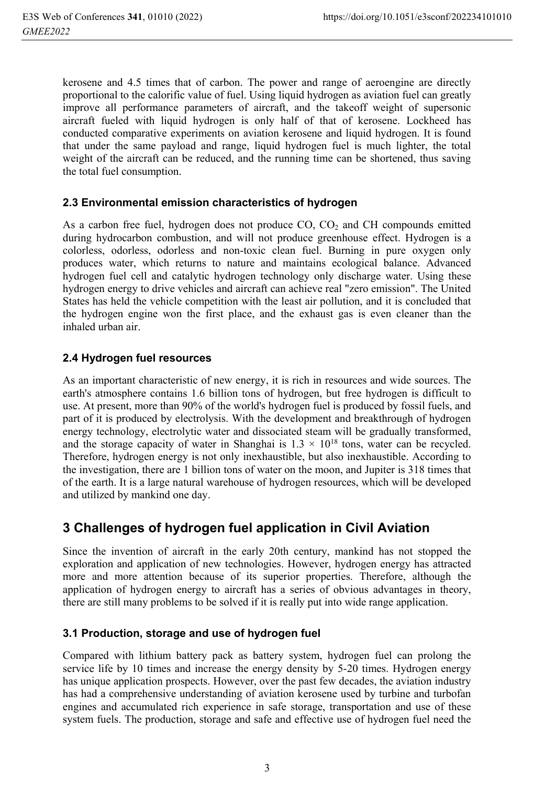kerosene and 4.5 times that of carbon. The power and range of aeroengine are directly proportional to the calorific value of fuel. Using liquid hydrogen as aviation fuel can greatly improve all performance parameters of aircraft, and the takeoff weight of supersonic aircraft fueled with liquid hydrogen is only half of that of kerosene. Lockheed has conducted comparative experiments on aviation kerosene and liquid hydrogen. It is found that under the same payload and range, liquid hydrogen fuel is much lighter, the total weight of the aircraft can be reduced, and the running time can be shortened, thus saving the total fuel consumption.

#### **2.3 Environmental emission characteristics of hydrogen**

As a carbon free fuel, hydrogen does not produce CO, CO<sub>2</sub> and CH compounds emitted during hydrocarbon combustion, and will not produce greenhouse effect. Hydrogen is a colorless, odorless, odorless and non-toxic clean fuel. Burning in pure oxygen only produces water, which returns to nature and maintains ecological balance. Advanced hydrogen fuel cell and catalytic hydrogen technology only discharge water. Using these hydrogen energy to drive vehicles and aircraft can achieve real "zero emission". The United States has held the vehicle competition with the least air pollution, and it is concluded that the hydrogen engine won the first place, and the exhaust gas is even cleaner than the inhaled urban air.

#### **2.4 Hydrogen fuel resources**

As an important characteristic of new energy, it is rich in resources and wide sources. The earth's atmosphere contains 1.6 billion tons of hydrogen, but free hydrogen is difficult to use. At present, more than 90% of the world's hydrogen fuel is produced by fossil fuels, and part of it is produced by electrolysis. With the development and breakthrough of hydrogen energy technology, electrolytic water and dissociated steam will be gradually transformed, and the storage capacity of water in Shanghai is  $1.3 \times 10^{18}$  tons, water can be recycled. Therefore, hydrogen energy is not only inexhaustible, but also inexhaustible. According to the investigation, there are 1 billion tons of water on the moon, and Jupiter is 318 times that of the earth. It is a large natural warehouse of hydrogen resources, which will be developed and utilized by mankind one day.

# **3 Challenges of hydrogen fuel application in Civil Aviation**

Since the invention of aircraft in the early 20th century, mankind has not stopped the exploration and application of new technologies. However, hydrogen energy has attracted more and more attention because of its superior properties. Therefore, although the application of hydrogen energy to aircraft has a series of obvious advantages in theory, there are still many problems to be solved if it is really put into wide range application.

#### **3.1 Production, storage and use of hydrogen fuel**

Compared with lithium battery pack as battery system, hydrogen fuel can prolong the service life by 10 times and increase the energy density by 5-20 times. Hydrogen energy has unique application prospects. However, over the past few decades, the aviation industry has had a comprehensive understanding of aviation kerosene used by turbine and turbofan engines and accumulated rich experience in safe storage, transportation and use of these system fuels. The production, storage and safe and effective use of hydrogen fuel need the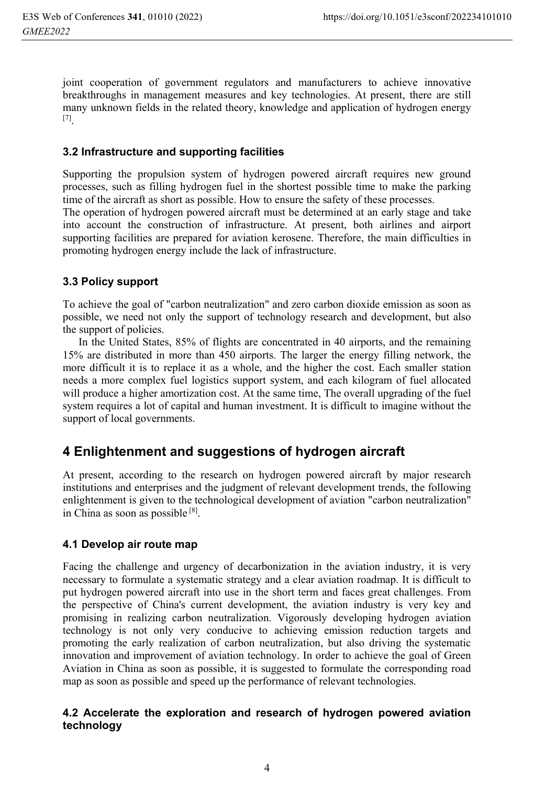joint cooperation of government regulators and manufacturers to achieve innovative breakthroughs in management measures and key technologies. At present, there are still many unknown fields in the related theory, knowledge and application of hydrogen energy [7].

## **3.2 Infrastructure and supporting facilities**

Supporting the propulsion system of hydrogen powered aircraft requires new ground processes, such as filling hydrogen fuel in the shortest possible time to make the parking time of the aircraft as short as possible. How to ensure the safety of these processes.

The operation of hydrogen powered aircraft must be determined at an early stage and take into account the construction of infrastructure. At present, both airlines and airport supporting facilities are prepared for aviation kerosene. Therefore, the main difficulties in promoting hydrogen energy include the lack of infrastructure.

## **3.3 Policy support**

To achieve the goal of "carbon neutralization" and zero carbon dioxide emission as soon as possible, we need not only the support of technology research and development, but also the support of policies.

In the United States, 85% of flights are concentrated in 40 airports, and the remaining 15% are distributed in more than 450 airports. The larger the energy filling network, the more difficult it is to replace it as a whole, and the higher the cost. Each smaller station needs a more complex fuel logistics support system, and each kilogram of fuel allocated will produce a higher amortization cost. At the same time, The overall upgrading of the fuel system requires a lot of capital and human investment. It is difficult to imagine without the support of local governments.

# **4 Enlightenment and suggestions of hydrogen aircraft**

At present, according to the research on hydrogen powered aircraft by major research institutions and enterprises and the judgment of relevant development trends, the following enlightenment is given to the technological development of aviation "carbon neutralization" in China as soon as possible [8].

#### **4.1 Develop air route map**

Facing the challenge and urgency of decarbonization in the aviation industry, it is very necessary to formulate a systematic strategy and a clear aviation roadmap. It is difficult to put hydrogen powered aircraft into use in the short term and faces great challenges. From the perspective of China's current development, the aviation industry is very key and promising in realizing carbon neutralization. Vigorously developing hydrogen aviation technology is not only very conducive to achieving emission reduction targets and promoting the early realization of carbon neutralization, but also driving the systematic innovation and improvement of aviation technology. In order to achieve the goal of Green Aviation in China as soon as possible, it is suggested to formulate the corresponding road map as soon as possible and speed up the performance of relevant technologies.

## **4.2 Accelerate the exploration and research of hydrogen powered aviation technology**